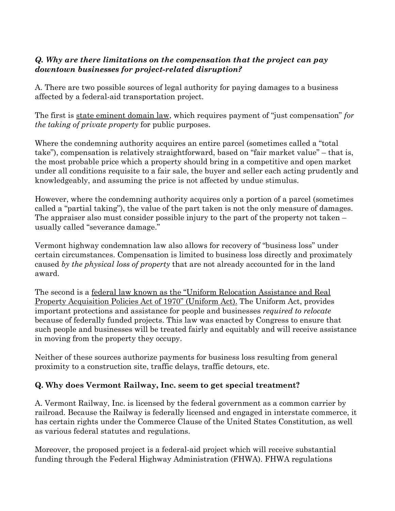## *Q. Why are there limitations on the compensation that the project can pay downtown businesses for project-related disruption?*

A. There are two possible sources of legal authority for paying damages to a business affected by a federal-aid transportation project.

The first is state eminent domain law, which requires payment of "just compensation" *for the taking of private property* for public purposes.

Where the condemning authority acquires an entire parcel (sometimes called a "total take"), compensation is relatively straightforward, based on "fair market value" – that is, the most probable price which a property should bring in a competitive and open market under all conditions requisite to a fair sale, the buyer and seller each acting prudently and knowledgeably, and assuming the price is not affected by undue stimulus.

However, where the condemning authority acquires only a portion of a parcel (sometimes called a "partial taking"), the value of the part taken is not the only measure of damages. The appraiser also must consider possible injury to the part of the property not taken – usually called "severance damage."

Vermont highway condemnation law also allows for recovery of "business loss" under certain circumstances. Compensation is limited to business loss directly and proximately caused *by the physical loss of property* that are not already accounted for in the land award.

The second is a <u>federal law known as the "Uniform Relocation Assistance and Real</u> Property Acquisition Policies Act of 1970" (Uniform Act). The Uniform Act, provides important protections and assistance for people and businesses *required to relocate* because of federally funded projects. This law was enacted by Congress to ensure that such people and businesses will be treated fairly and equitably and will receive assistance in moving from the property they occupy.

Neither of these sources authorize payments for business loss resulting from general proximity to a construction site, traffic delays, traffic detours, etc.

## Q. Why does Vermont Railway, Inc. seem to get special treatment?

A. Vermont Railway, Inc. is licensed by the federal government as a common carrier by railroad. Because the Railway is federally licensed and engaged in interstate commerce, it has certain rights under the Commerce Clause of the United States Constitution, as well as various federal statutes and regulations.

Moreover, the proposed project is a federal-aid project which will receive substantial funding through the Federal Highway Administration (FHWA). FHWA regulations